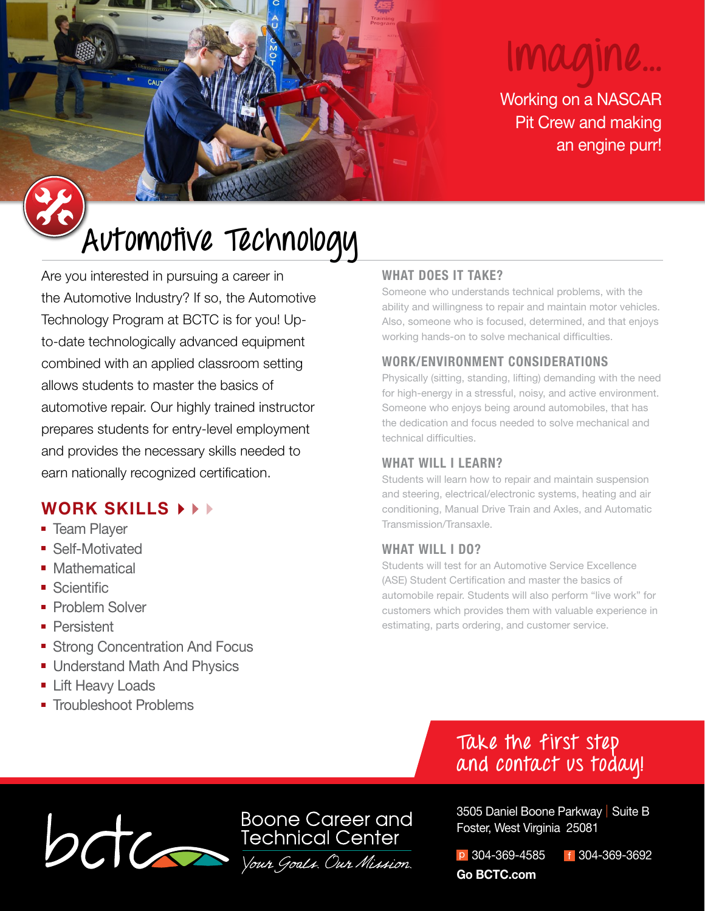# **Imagine...**

Working on a NASCAR Pit Crew and making an engine purr!

# **Automotive Technology**

Are you interested in pursuing a career in the Automotive Industry? If so, the Automotive Technology Program at BCTC is for you! Upto-date technologically advanced equipment combined with an applied classroom setting allows students to master the basics of automotive repair. Our highly trained instructor prepares students for entry-level employment and provides the necessary skills needed to earn nationally recognized certification.

# **WORK SKILLS**

- **Team Player**
- **Self-Motivated**
- **Mathematical**
- Scientific
- **Problem Solver**
- **Persistent**
- **Strong Concentration And Focus**
- **Understand Math And Physics**
- **Lift Heavy Loads**
- **Troubleshoot Problems**

### **WHAT DOES IT TAKE?**

Someone who understands technical problems, with the ability and willingness to repair and maintain motor vehicles. Also, someone who is focused, determined, and that enjoys working hands-on to solve mechanical difficulties.

### **WORK/ENVIRONMENT CONSIDERATIONS**

Physically (sitting, standing, lifting) demanding with the need for high-energy in a stressful, noisy, and active environment. Someone who enjoys being around automobiles, that has the dedication and focus needed to solve mechanical and technical difficulties.

#### **WHAT WILL I LEARN?**

Students will learn how to repair and maintain suspension and steering, electrical/electronic systems, heating and air conditioning, Manual Drive Train and Axles, and Automatic Transmission/Transaxle.

### **WHAT WILL I DO?**

Students will test for an Automotive Service Excellence (ASE) Student Certification and master the basics of automobile repair. Students will also perform "live work" for customers which provides them with valuable experience in estimating, parts ordering, and customer service.

# **Take the first step and contact us today!**



3505 Daniel Boone Parkway | Suite B Foster, West Virginia 25081

p 304-369-4585 f 304-369-3692 **Go BCTC.com**